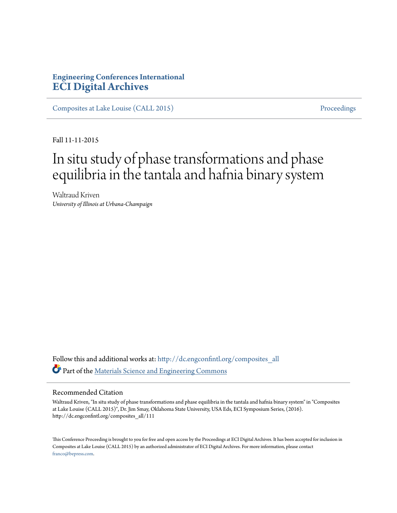## **Engineering Conferences International [ECI Digital Archives](http://dc.engconfintl.org?utm_source=dc.engconfintl.org%2Fcomposites_all%2F111&utm_medium=PDF&utm_campaign=PDFCoverPages)**

[Composites at Lake Louise \(CALL 2015\)](http://dc.engconfintl.org/composites_all?utm_source=dc.engconfintl.org%2Fcomposites_all%2F111&utm_medium=PDF&utm_campaign=PDFCoverPages) [Proceedings](http://dc.engconfintl.org/proceedings?utm_source=dc.engconfintl.org%2Fcomposites_all%2F111&utm_medium=PDF&utm_campaign=PDFCoverPages)

Fall 11-11-2015

# In situ study of phase transformations and phase equilibria in the tantala and hafnia binary system

Waltraud Kriven *University of Illinois at Urbana-Champaign*

Follow this and additional works at: [http://dc.engconfintl.org/composites\\_all](http://dc.engconfintl.org/composites_all?utm_source=dc.engconfintl.org%2Fcomposites_all%2F111&utm_medium=PDF&utm_campaign=PDFCoverPages) Part of the [Materials Science and Engineering Commons](http://network.bepress.com/hgg/discipline/285?utm_source=dc.engconfintl.org%2Fcomposites_all%2F111&utm_medium=PDF&utm_campaign=PDFCoverPages)

#### Recommended Citation

Waltraud Kriven, "In situ study of phase transformations and phase equilibria in the tantala and hafnia binary system" in "Composites at Lake Louise (CALL 2015)", Dr. Jim Smay, Oklahoma State University, USA Eds, ECI Symposium Series, (2016). http://dc.engconfintl.org/composites\_all/111

This Conference Proceeding is brought to you for free and open access by the Proceedings at ECI Digital Archives. It has been accepted for inclusion in Composites at Lake Louise (CALL 2015) by an authorized administrator of ECI Digital Archives. For more information, please contact [franco@bepress.com.](mailto:franco@bepress.com)